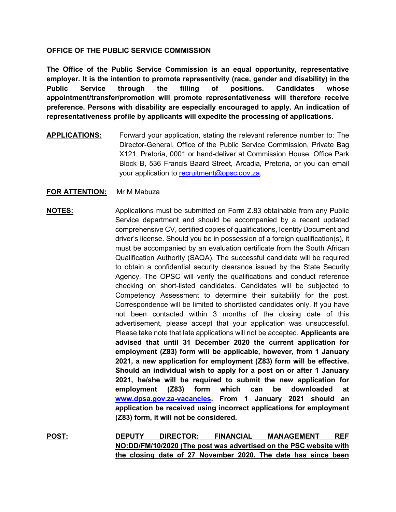### **OFFICE OF THE PUBLIC SERVICE COMMISSION**

**The Office of the Public Service Commission is an equal opportunity, representative employer. It is the intention to promote representivity (race, gender and disability) in the Public Service through the filling of positions. Candidates whose appointment/transfer/promotion will promote representativeness will therefore receive preference. Persons with disability are especially encouraged to apply. An indication of representativeness profile by applicants will expedite the processing of applications.**

**APPLICATIONS:** Forward your application, stating the relevant reference number to: The Director-General, Office of the Public Service Commission, Private Bag X121, Pretoria, 0001 or hand-deliver at Commission House, Office Park Block B, 536 Francis Baard Street, Arcadia, Pretoria, or you can email your application to [recruitment@opsc.gov.za.](mailto:recruitment@opsc.gov.za)

### **FOR ATTENTION:** Mr M Mabuza

# **NOTES:** Applications must be submitted on Form Z.83 obtainable from any Public Service department and should be accompanied by a recent updated comprehensive CV, certified copies of qualifications, Identity Document and driver's license. Should you be in possession of a foreign qualification(s), it must be accompanied by an evaluation certificate from the South African Qualification Authority (SAQA). The successful candidate will be required to obtain a confidential security clearance issued by the State Security Agency. The OPSC will verify the qualifications and conduct reference checking on short-listed candidates. Candidates will be subjected to Competency Assessment to determine their suitability for the post. Correspondence will be limited to shortlisted candidates only. If you have not been contacted within 3 months of the closing date of this advertisement, please accept that your application was unsuccessful. Please take note that late applications will not be accepted. **Applicants are advised that until 31 December 2020 the current application for employment (Z83) form will be applicable, however, from 1 January 2021, a new application for employment (Z83) form will be effective. Should an individual wish to apply for a post on or after 1 January 2021, he/she will be required to submit the new application for employment (Z83) form which can be downloaded at [www.dpsa.gov.za-vacancies.](http://www.dpsa.gov.za-vacancies/) From 1 January 2021 should an application be received using incorrect applications for employment (Z83) form, it will not be considered.**

**POST: DEPUTY DIRECTOR: FINANCIAL MANAGEMENT REF NO:DD/FM/10/2020 (The post was advertised on the PSC website with the closing date of 27 November 2020. The date has since been**